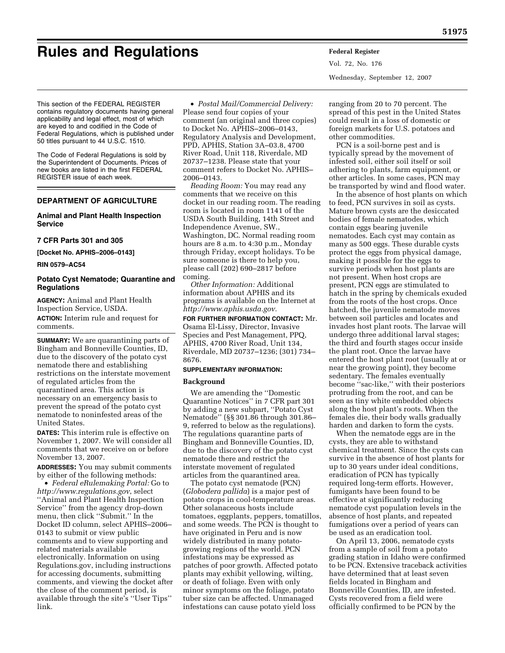# **Rules and Regulations Federal Register**

Vol. 72, No. 176 Wednesday, September 12, 2007

This section of the FEDERAL REGISTER contains regulatory documents having general applicability and legal effect, most of which are keyed to and codified in the Code of Federal Regulations, which is published under 50 titles pursuant to 44 U.S.C. 1510.

The Code of Federal Regulations is sold by the Superintendent of Documents. Prices of new books are listed in the first FEDERAL REGISTER issue of each week.

# **DEPARTMENT OF AGRICULTURE**

## **Animal and Plant Health Inspection Service**

#### **7 CFR Parts 301 and 305**

**[Docket No. APHIS–2006–0143]** 

**RIN 0579–AC54** 

## **Potato Cyst Nematode; Quarantine and Regulations**

**AGENCY:** Animal and Plant Health Inspection Service, USDA.

**ACTION:** Interim rule and request for comments.

**SUMMARY:** We are quarantining parts of Bingham and Bonneville Counties, ID, due to the discovery of the potato cyst nematode there and establishing restrictions on the interstate movement of regulated articles from the quarantined area. This action is necessary on an emergency basis to prevent the spread of the potato cyst nematode to noninfested areas of the United States.

**DATES:** This interim rule is effective on November 1, 2007. We will consider all comments that we receive on or before November 13, 2007.

**ADDRESSES:** You may submit comments by either of the following methods:

• *Federal eRulemaking Portal:* Go to *http://www.regulations.gov*, select ''Animal and Plant Health Inspection Service'' from the agency drop-down menu, then click ''Submit.'' In the Docket ID column, select APHIS–2006– 0143 to submit or view public comments and to view supporting and related materials available electronically. Information on using Regulations.gov, including instructions for accessing documents, submitting comments, and viewing the docket after the close of the comment period, is available through the site's ''User Tips'' link.

• *Postal Mail/Commercial Delivery:*  Please send four copies of your comment (an original and three copies) to Docket No. APHIS–2006–0143, Regulatory Analysis and Development, PPD, APHIS, Station 3A–03.8, 4700 River Road, Unit 118, Riverdale, MD 20737–1238. Please state that your comment refers to Docket No. APHIS– 2006–0143.

*Reading Room:* You may read any comments that we receive on this docket in our reading room. The reading room is located in room 1141 of the USDA South Building, 14th Street and Independence Avenue, SW., Washington, DC. Normal reading room hours are 8 a.m. to 4:30 p.m., Monday through Friday, except holidays. To be sure someone is there to help you, please call (202) 690–2817 before coming.

*Other Information:* Additional information about APHIS and its programs is available on the Internet at *http://www.aphis.usda.gov.* 

**FOR FURTHER INFORMATION CONTACT:** Mr. Osama El-Lissy, Director, Invasive Species and Pest Management, PPQ, APHIS, 4700 River Road, Unit 134, Riverdale, MD 20737–1236; (301) 734– 8676.

#### **SUPPLEMENTARY INFORMATION:**

## **Background**

We are amending the ''Domestic Quarantine Notices'' in 7 CFR part 301 by adding a new subpart, ''Potato Cyst Nematode'' (§§ 301.86 through 301.86– 9, referred to below as the regulations). The regulations quarantine parts of Bingham and Bonneville Counties, ID, due to the discovery of the potato cyst nematode there and restrict the interstate movement of regulated articles from the quarantined area.

The potato cyst nematode (PCN) (*Globodera pallida*) is a major pest of potato crops in cool-temperature areas. Other solanaceous hosts include tomatoes, eggplants, peppers, tomatillos, and some weeds. The PCN is thought to have originated in Peru and is now widely distributed in many potatogrowing regions of the world. PCN infestations may be expressed as patches of poor growth. Affected potato plants may exhibit yellowing, wilting, or death of foliage. Even with only minor symptoms on the foliage, potato tuber size can be affected. Unmanaged infestations can cause potato yield loss

ranging from 20 to 70 percent. The spread of this pest in the United States could result in a loss of domestic or foreign markets for U.S. potatoes and other commodities.

PCN is a soil-borne pest and is typically spread by the movement of infested soil, either soil itself or soil adhering to plants, farm equipment, or other articles. In some cases, PCN may be transported by wind and flood water.

In the absence of host plants on which to feed, PCN survives in soil as cysts. Mature brown cysts are the desiccated bodies of female nematodes, which contain eggs bearing juvenile nematodes. Each cyst may contain as many as 500 eggs. These durable cysts protect the eggs from physical damage, making it possible for the eggs to survive periods when host plants are not present. When host crops are present, PCN eggs are stimulated to hatch in the spring by chemicals exuded from the roots of the host crops. Once hatched, the juvenile nematode moves between soil particles and locates and invades host plant roots. The larvae will undergo three additional larval stages; the third and fourth stages occur inside the plant root. Once the larvae have entered the host plant root (usually at or near the growing point), they become sedentary. The females eventually become ''sac-like,'' with their posteriors protruding from the root, and can be seen as tiny white embedded objects along the host plant's roots. When the females die, their body walls gradually harden and darken to form the cysts.

When the nematode eggs are in the cysts, they are able to withstand chemical treatment. Since the cysts can survive in the absence of host plants for up to 30 years under ideal conditions, eradication of PCN has typically required long-term efforts. However, fumigants have been found to be effective at significantly reducing nematode cyst population levels in the absence of host plants, and repeated fumigations over a period of years can be used as an eradication tool.

On April 13, 2006, nematode cysts from a sample of soil from a potato grading station in Idaho were confirmed to be PCN. Extensive traceback activities have determined that at least seven fields located in Bingham and Bonneville Counties, ID, are infested. Cysts recovered from a field were officially confirmed to be PCN by the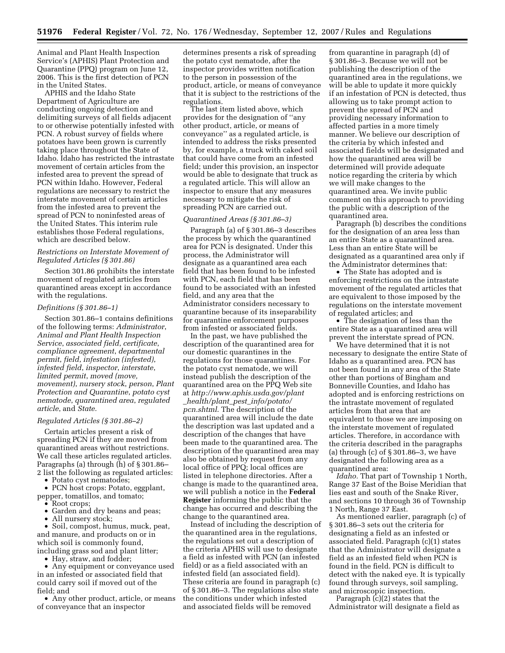Animal and Plant Health Inspection Service's (APHIS) Plant Protection and Quarantine (PPQ) program on June 12, 2006. This is the first detection of PCN in the United States.

APHIS and the Idaho State Department of Agriculture are conducting ongoing detection and delimiting surveys of all fields adjacent to or otherwise potentially infested with PCN. A robust survey of fields where potatoes have been grown is currently taking place throughout the State of Idaho. Idaho has restricted the intrastate movement of certain articles from the infested area to prevent the spread of PCN within Idaho. However, Federal regulations are necessary to restrict the interstate movement of certain articles from the infested area to prevent the spread of PCN to noninfested areas of the United States. This interim rule establishes those Federal regulations, which are described below.

## *Restrictions on Interstate Movement of Regulated Articles (§ 301.86)*

Section 301.86 prohibits the interstate movement of regulated articles from quarantined areas except in accordance with the regulations.

#### *Definitions (§ 301.86–1)*

Section 301.86–1 contains definitions of the following terms: *Administrator*, *Animal and Plant Health Inspection Service*, *associated field*, *certificate*, *compliance agreement*, *departmental permit*, *field*, *infestation (infested)*, *infested field*, *inspector*, *interstate*, *limited permit*, *moved (move, movement)*, *nursery stock*, *person*, *Plant Protection and Quarantine*, *potato cyst nematode*, *quarantined area*, *regulated article*, and *State.* 

## *Regulated Articles (§ 301.86–2)*

Certain articles present a risk of spreading PCN if they are moved from quarantined areas without restrictions. We call these articles regulated articles. Paragraphs (a) through (h) of § 301.86– 2 list the following as regulated articles:

• Potato cyst nematodes;

• PCN host crops: Potato, eggplant, pepper, tomatillos, and tomato;

- Root crops;<br>• Garden and
- Garden and dry beans and peas;
- All nursery stock;

• Soil, compost, humus, muck, peat, and manure, and products on or in which soil is commonly found, including grass sod and plant litter;

• Hay, straw, and fodder;

• Any equipment or conveyance used in an infested or associated field that could carry soil if moved out of the field; and

• Any other product, article, or means of conveyance that an inspector

determines presents a risk of spreading the potato cyst nematode, after the inspector provides written notification to the person in possession of the product, article, or means of conveyance that it is subject to the restrictions of the regulations.

The last item listed above, which provides for the designation of ''any other product, article, or means of conveyance'' as a regulated article, is intended to address the risks presented by, for example, a truck with caked soil that could have come from an infested field; under this provision, an inspector would be able to designate that truck as a regulated article. This will allow an inspector to ensure that any measures necessary to mitigate the risk of spreading PCN are carried out.

#### *Quarantined Areas (§ 301.86–3)*

Paragraph (a) of § 301.86–3 describes the process by which the quarantined area for PCN is designated. Under this process, the Administrator will designate as a quarantined area each field that has been found to be infested with PCN, each field that has been found to be associated with an infested field, and any area that the Administrator considers necessary to quarantine because of its inseparability for quarantine enforcement purposes from infested or associated fields.

In the past, we have published the description of the quarantined area for our domestic quarantines in the regulations for those quarantines. For the potato cyst nematode, we will instead publish the description of the quarantined area on the PPQ Web site at *http://www.aphis.usda.gov/plant* \_*health/plant*\_*pest*\_*info/potato/ pcn.shtml*. The description of the quarantined area will include the date the description was last updated and a description of the changes that have been made to the quarantined area. The description of the quarantined area may also be obtained by request from any local office of PPQ; local offices are listed in telephone directories. After a change is made to the quarantined area, we will publish a notice in the **Federal Register** informing the public that the change has occurred and describing the change to the quarantined area.

Instead of including the description of the quarantined area in the regulations, the regulations set out a description of the criteria APHIS will use to designate a field as infested with PCN (an infested field) or as a field associated with an infested field (an associated field). These criteria are found in paragraph (c) of § 301.86–3. The regulations also state the conditions under which infested and associated fields will be removed

from quarantine in paragraph (d) of § 301.86–3. Because we will not be publishing the description of the quarantined area in the regulations, we will be able to update it more quickly if an infestation of PCN is detected, thus allowing us to take prompt action to prevent the spread of PCN and providing necessary information to affected parties in a more timely manner. We believe our description of the criteria by which infested and associated fields will be designated and how the quarantined area will be determined will provide adequate notice regarding the criteria by which we will make changes to the quarantined area. We invite public comment on this approach to providing the public with a description of the quarantined area.

Paragraph (b) describes the conditions for the designation of an area less than an entire State as a quarantined area. Less than an entire State will be designated as a quarantined area only if the Administrator determines that:

• The State has adopted and is enforcing restrictions on the intrastate movement of the regulated articles that are equivalent to those imposed by the regulations on the interstate movement of regulated articles; and

• The designation of less than the entire State as a quarantined area will prevent the interstate spread of PCN.

We have determined that it is not necessary to designate the entire State of Idaho as a quarantined area. PCN has not been found in any area of the State other than portions of Bingham and Bonneville Counties, and Idaho has adopted and is enforcing restrictions on the intrastate movement of regulated articles from that area that are equivalent to those we are imposing on the interstate movement of regulated articles. Therefore, in accordance with the criteria described in the paragraphs (a) through (c) of § 301.86–3, we have designated the following area as a quarantined area:

*Idaho.* That part of Township 1 North, Range 37 East of the Boise Meridian that lies east and south of the Snake River, and sections 10 through 36 of Township 1 North, Range 37 East.

As mentioned earlier, paragraph (c) of § 301.86–3 sets out the criteria for designating a field as an infested or associated field. Paragraph (c)(1) states that the Administrator will designate a field as an infested field when PCN is found in the field. PCN is difficult to detect with the naked eye. It is typically found through surveys, soil sampling, and microscopic inspection.

Paragraph (c)(2) states that the Administrator will designate a field as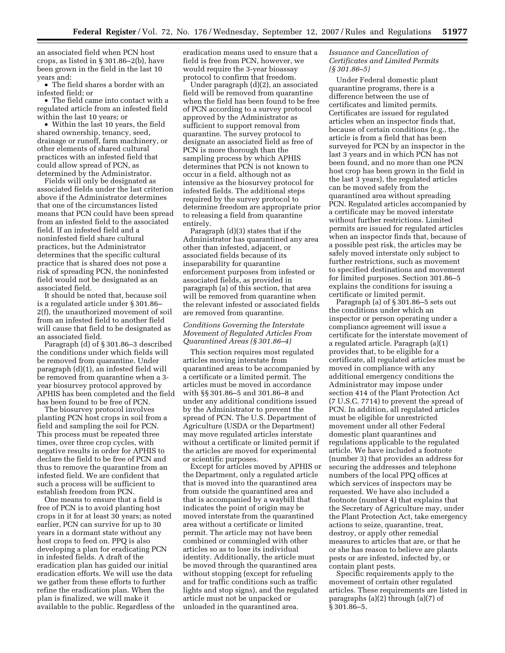an associated field when PCN host crops, as listed in § 301.86–2(b), have been grown in the field in the last 10 years and:

• The field shares a border with an infested field; or

• The field came into contact with a regulated article from an infested field within the last 10 years; or

• Within the last 10 years, the field shared ownership, tenancy, seed, drainage or runoff, farm machinery, or other elements of shared cultural practices with an infested field that could allow spread of PCN, as determined by the Administrator.

Fields will only be designated as associated fields under the last criterion above if the Administrator determines that one of the circumstances listed means that PCN could have been spread from an infested field to the associated field. If an infested field and a noninfested field share cultural practices, but the Administrator determines that the specific cultural practice that is shared does not pose a risk of spreading PCN, the noninfested field would not be designated as an associated field.

It should be noted that, because soil is a regulated article under § 301.86– 2(f), the unauthorized movement of soil from an infested field to another field will cause that field to be designated as an associated field.

Paragraph (d) of § 301.86–3 described the conditions under which fields will be removed from quarantine. Under paragraph (d)(1), an infested field will be removed from quarantine when a 3 year biosurvey protocol approved by APHIS has been completed and the field has been found to be free of PCN.

The biosurvey protocol involves planting PCN host crops in soil from a field and sampling the soil for PCN. This process must be repeated three times, over three crop cycles, with negative results in order for APHIS to declare the field to be free of PCN and thus to remove the quarantine from an infested field. We are confident that such a process will be sufficient to establish freedom from PCN.

One means to ensure that a field is free of PCN is to avoid planting host crops in it for at least 30 years; as noted earlier, PCN can survive for up to 30 years in a dormant state without any host crops to feed on. PPQ is also developing a plan for eradicating PCN in infested fields. A draft of the eradication plan has guided our initial eradication efforts. We will use the data we gather from these efforts to further refine the eradication plan. When the plan is finalized, we will make it available to the public. Regardless of the eradication means used to ensure that a field is free from PCN, however, we would require the 3-year bioassay protocol to confirm that freedom.

Under paragraph (d)(2), an associated field will be removed from quarantine when the field has been found to be free of PCN according to a survey protocol approved by the Administrator as sufficient to support removal from quarantine. The survey protocol to designate an associated field as free of PCN is more thorough than the sampling process by which APHIS determines that PCN is not known to occur in a field, although not as intensive as the biosurvey protocol for infested fields. The additional steps required by the survey protocol to determine freedom are appropriate prior to releasing a field from quarantine entirely.

Paragraph (d)(3) states that if the Administrator has quarantined any area other than infested, adjacent, or associated fields because of its inseparability for quarantine enforcement purposes from infested or associated fields, as provided in paragraph (a) of this section, that area will be removed from quarantine when the relevant infested or associated fields are removed from quarantine.

## *Conditions Governing the Interstate Movement of Regulated Articles From Quarantined Areas (§ 301.86–4)*

This section requires most regulated articles moving interstate from quarantined areas to be accompanied by a certificate or a limited permit. The articles must be moved in accordance with §§ 301.86–5 and 301.86–8 and under any additional conditions issued by the Administrator to prevent the spread of PCN. The U.S. Department of Agriculture (USDA or the Department) may move regulated articles interstate without a certificate or limited permit if the articles are moved for experimental or scientific purposes.

Except for articles moved by APHIS or the Department, only a regulated article that is moved into the quarantined area from outside the quarantined area and that is accompanied by a waybill that indicates the point of origin may be moved interstate from the quarantined area without a certificate or limited permit. The article may not have been combined or commingled with other articles so as to lose its individual identity. Additionally, the article must be moved through the quarantined area without stopping (except for refueling and for traffic conditions such as traffic lights and stop signs), and the regulated article must not be unpacked or unloaded in the quarantined area.

## *Issuance and Cancellation of Certificates and Limited Permits (§ 301.86–5)*

Under Federal domestic plant quarantine programs, there is a difference between the use of certificates and limited permits. Certificates are issued for regulated articles when an inspector finds that, because of certain conditions (e.g., the article is from a field that has been surveyed for PCN by an inspector in the last 3 years and in which PCN has not been found, and no more than one PCN host crop has been grown in the field in the last 3 years), the regulated articles can be moved safely from the quarantined area without spreading PCN. Regulated articles accompanied by a certificate may be moved interstate without further restrictions. Limited permits are issued for regulated articles when an inspector finds that, because of a possible pest risk, the articles may be safely moved interstate only subject to further restrictions, such as movement to specified destinations and movement for limited purposes. Section 301.86–5 explains the conditions for issuing a certificate or limited permit.

Paragraph (a) of § 301.86–5 sets out the conditions under which an inspector or person operating under a compliance agreement will issue a certificate for the interstate movement of a regulated article. Paragraph (a)(1) provides that, to be eligible for a certificate, all regulated articles must be moved in compliance with any additional emergency conditions the Administrator may impose under section 414 of the Plant Protection Act (7 U.S.C. 7714) to prevent the spread of PCN. In addition, all regulated articles must be eligible for unrestricted movement under all other Federal domestic plant quarantines and regulations applicable to the regulated article. We have included a footnote (number 3) that provides an address for securing the addresses and telephone numbers of the local PPQ offices at which services of inspectors may be requested. We have also included a footnote (number 4) that explains that the Secretary of Agriculture may, under the Plant Protection Act, take emergency actions to seize, quarantine, treat, destroy, or apply other remedial measures to articles that are, or that he or she has reason to believe are plants pests or are infested, infected by, or contain plant pests.

Specific requirements apply to the movement of certain other regulated articles. These requirements are listed in paragraphs (a)(2) through (a)(7) of § 301.86–5.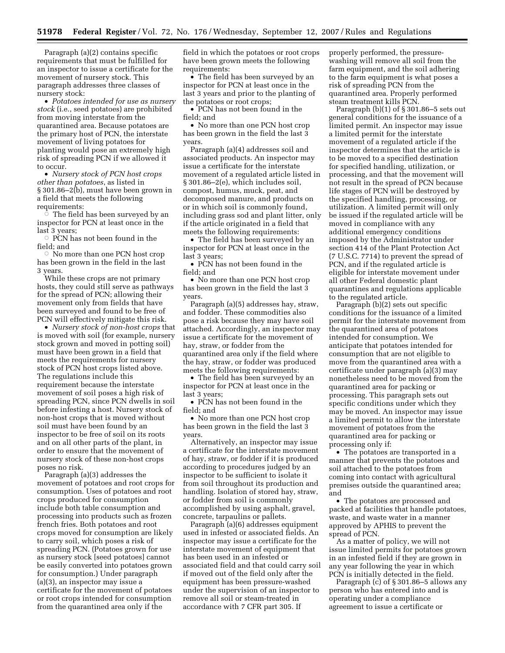Paragraph (a)(2) contains specific requirements that must be fulfilled for an inspector to issue a certificate for the movement of nursery stock. This paragraph addresses three classes of nursery stock:

• *Potatoes intended for use as nursery stock* (i.e., seed potatoes) are prohibited from moving interstate from the quarantined area. Because potatoes are the primary host of PCN, the interstate movement of living potatoes for planting would pose an extremely high risk of spreading PCN if we allowed it to occur.

• *Nursery stock of PCN host crops other than potatoes*, as listed in § 301.86–2(b), must have been grown in a field that meets the following requirements:

 $\circ$  The field has been surveyed by an inspector for PCN at least once in the last 3 years;

 $\circ$  PCN has not been found in the field; and

 $\circ$  No more than one PCN host crop has been grown in the field in the last 3 years.

While these crops are not primary hosts, they could still serve as pathways for the spread of PCN; allowing their movement only from fields that have been surveyed and found to be free of PCN will effectively mitigate this risk.

• *Nursery stock of non-host crops* that is moved with soil (for example, nursery stock grown and moved in potting soil) must have been grown in a field that meets the requirements for nursery stock of PCN host crops listed above. The regulations include this requirement because the interstate movement of soil poses a high risk of spreading PCN, since PCN dwells in soil before infesting a host. Nursery stock of non-host crops that is moved without soil must have been found by an inspector to be free of soil on its roots and on all other parts of the plant, in order to ensure that the movement of nursery stock of these non-host crops poses no risk.

Paragraph (a)(3) addresses the movement of potatoes and root crops for consumption. Uses of potatoes and root crops produced for consumption include both table consumption and processing into products such as frozen french fries. Both potatoes and root crops moved for consumption are likely to carry soil, which poses a risk of spreading PCN. (Potatoes grown for use as nursery stock [seed potatoes] cannot be easily converted into potatoes grown for consumption.) Under paragraph (a)(3), an inspector may issue a certificate for the movement of potatoes or root crops intended for consumption from the quarantined area only if the

field in which the potatoes or root crops have been grown meets the following requirements:

• The field has been surveyed by an inspector for PCN at least once in the last 3 years and prior to the planting of the potatoes or root crops;

• PCN has not been found in the field; and

• No more than one PCN host crop has been grown in the field the last 3 years.

Paragraph (a)(4) addresses soil and associated products. An inspector may issue a certificate for the interstate movement of a regulated article listed in § 301.86–2(e), which includes soil, compost, humus, muck, peat, and decomposed manure, and products on or in which soil is commonly found, including grass sod and plant litter, only if the article originated in a field that meets the following requirements:

• The field has been surveyed by an inspector for PCN at least once in the last 3 years;

• PCN has not been found in the field; and

• No more than one PCN host crop has been grown in the field the last 3 years.

Paragraph (a)(5) addresses hay, straw, and fodder. These commodities also pose a risk because they may have soil attached. Accordingly, an inspector may issue a certificate for the movement of hay, straw, or fodder from the quarantined area only if the field where the hay, straw, or fodder was produced meets the following requirements:

• The field has been surveyed by an inspector for PCN at least once in the last 3 years;

• PCN has not been found in the field; and

• No more than one PCN host crop has been grown in the field the last 3 years.

Alternatively, an inspector may issue a certificate for the interstate movement of hay, straw, or fodder if it is produced according to procedures judged by an inspector to be sufficient to isolate it from soil throughout its production and handling. Isolation of stored hay, straw, or fodder from soil is commonly accomplished by using asphalt, gravel, concrete, tarpaulins or pallets.

Paragraph (a)(6) addresses equipment used in infested or associated fields. An inspector may issue a certificate for the interstate movement of equipment that has been used in an infested or associated field and that could carry soil if moved out of the field only after the equipment has been pressure-washed under the supervision of an inspector to remove all soil or steam-treated in accordance with 7 CFR part 305. If

properly performed, the pressurewashing will remove all soil from the farm equipment, and the soil adhering to the farm equipment is what poses a risk of spreading PCN from the quarantined area. Properly performed steam treatment kills PCN.

Paragraph  $(b)(1)$  of § 301.86–5 sets out general conditions for the issuance of a limited permit. An inspector may issue a limited permit for the interstate movement of a regulated article if the inspector determines that the article is to be moved to a specified destination for specified handling, utilization, or processing, and that the movement will not result in the spread of PCN because life stages of PCN will be destroyed by the specified handling, processing, or utilization. A limited permit will only be issued if the regulated article will be moved in compliance with any additional emergency conditions imposed by the Administrator under section 414 of the Plant Protection Act (7 U.S.C. 7714) to prevent the spread of PCN, and if the regulated article is eligible for interstate movement under all other Federal domestic plant quarantines and regulations applicable to the regulated article.

Paragraph (b)(2) sets out specific conditions for the issuance of a limited permit for the interstate movement from the quarantined area of potatoes intended for consumption. We anticipate that potatoes intended for consumption that are not eligible to move from the quarantined area with a certificate under paragraph (a)(3) may nonetheless need to be moved from the quarantined area for packing or processing. This paragraph sets out specific conditions under which they may be moved. An inspector may issue a limited permit to allow the interstate movement of potatoes from the quarantined area for packing or processing only if:

• The potatoes are transported in a manner that prevents the potatoes and soil attached to the potatoes from coming into contact with agricultural premises outside the quarantined area; and

• The potatoes are processed and packed at facilities that handle potatoes, waste, and waste water in a manner approved by APHIS to prevent the spread of PCN.

As a matter of policy, we will not issue limited permits for potatoes grown in an infested field if they are grown in any year following the year in which PCN is initially detected in the field.

Paragraph (c) of § 301.86–5 allows any person who has entered into and is operating under a compliance agreement to issue a certificate or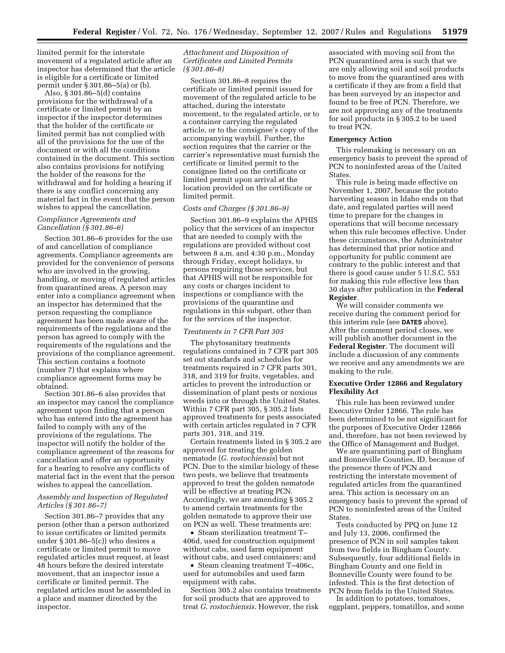limited permit for the interstate movement of a regulated article after an inspector has determined that the article is eligible for a certificate or limited permit under § 301.86–5(a) or (b).

Also, § 301.86–5(d) contains provisions for the withdrawal of a certificate or limited permit by an inspector if the inspector determines that the holder of the certificate or limited permit has not complied with all of the provisions for the use of the document or with all the conditions contained in the document. This section also contains provisions for notifying the holder of the reasons for the withdrawal and for holding a hearing if there is any conflict concerning any material fact in the event that the person wishes to appeal the cancellation.

## *Compliance Agreements and Cancellation (§ 301.86–6)*

Section 301.86–6 provides for the use of and cancellation of compliance agreements. Compliance agreements are provided for the convenience of persons who are involved in the growing, handling, or moving of regulated articles from quarantined areas. A person may enter into a compliance agreement when an inspector has determined that the person requesting the compliance agreement has been made aware of the requirements of the regulations and the person has agreed to comply with the requirements of the regulations and the provisions of the compliance agreement. This section contains a footnote (number 7) that explains where compliance agreement forms may be obtained.

Section 301.86–6 also provides that an inspector may cancel the compliance agreement upon finding that a person who has entered into the agreement has failed to comply with any of the provisions of the regulations. The inspector will notify the holder of the compliance agreement of the reasons for cancellation and offer an opportunity for a hearing to resolve any conflicts of material fact in the event that the person wishes to appeal the cancellation.

## *Assembly and Inspection of Regulated Articles (§ 301.86–7)*

Section 301.86–7 provides that any person (other than a person authorized to issue certificates or limited permits under § 301.86–5(c)) who desires a certificate or limited permit to move regulated articles must request, at least 48 hours before the desired interstate movement, that an inspector issue a certificate or limited permit. The regulated articles must be assembled in a place and manner directed by the inspector.

## *Attachment and Disposition of Certificates and Limited Permits (§ 301.86–8)*

Section 301.86–8 requires the certificate or limited permit issued for movement of the regulated article to be attached, during the interstate movement, to the regulated article, or to a container carrying the regulated article, or to the consignee's copy of the accompanying waybill. Further, the section requires that the carrier or the carrier's representative must furnish the certificate or limited permit to the consignee listed on the certificate or limited permit upon arrival at the location provided on the certificate or limited permit.

## *Costs and Charges (§ 301.86–9)*

Section 301.86–9 explains the APHIS policy that the services of an inspector that are needed to comply with the regulations are provided without cost between 8 a.m. and 4:30 p.m., Monday through Friday, except holidays, to persons requiring those services, but that APHIS will not be responsible for any costs or charges incident to inspections or compliance with the provisions of the quarantine and regulations in this subpart, other than for the services of the inspector.

## *Treatments in 7 CFR Part 305*

The phytosanitary treatments regulations contained in 7 CFR part 305 set out standards and schedules for treatments required in 7 CFR parts 301, 318, and 319 for fruits, vegetables, and articles to prevent the introduction or dissemination of plant pests or noxious weeds into or through the United States. Within 7 CFR part 305, § 305.2 lists approved treatments for pests associated with certain articles regulated in 7 CFR parts 301, 318, and 319.

Certain treatments listed in § 305.2 are approved for treating the golden nematode (*G. rostochiensis*) but not PCN. Due to the similar biology of these two pests, we believe that treatments approved to treat the golden nematode will be effective at treating PCN. Accordingly, we are amending § 305.2 to amend certain treatments for the golden nematode to approve their use on PCN as well. These treatments are:

• Steam sterilization treatment T– 406d, used for construction equipment without cabs, used farm equipment without cabs, and used containers; and

• Steam cleaning treatment T-406c, used for automobiles and used farm equipment with cabs.

Section 305.2 also contains treatments for soil products that are approved to treat *G. rostochiensis.* However, the risk

associated with moving soil from the PCN quarantined area is such that we are only allowing soil and soil products to move from the quarantined area with a certificate if they are from a field that has been surveyed by an inspector and found to be free of PCN. Therefore, we are not approving any of the treatments for soil products in § 305.2 to be used to treat PCN.

## **Emergency Action**

This rulemaking is necessary on an emergency basis to prevent the spread of PCN to noninfested areas of the United States.

This rule is being made effective on November 1, 2007, because the potato harvesting season in Idaho ends on that date, and regulated parties will need time to prepare for the changes in operations that will become necessary when this rule becomes effective. Under these circumstances, the Administrator has determined that prior notice and opportunity for public comment are contrary to the public interest and that there is good cause under 5 U.S.C. 553 for making this rule effective less than 30 days after publication in the **Federal Register**.

We will consider comments we receive during the comment period for this interim rule (see **DATES** above). After the comment period closes, we will publish another document in the **Federal Register**. The document will include a discussion of any comments we receive and any amendments we are making to the rule.

## **Executive Order 12866 and Regulatory Flexibility Act**

This rule has been reviewed under Executive Order 12866. The rule has been determined to be not significant for the purposes of Executive Order 12866 and, therefore, has not been reviewed by the Office of Management and Budget.

We are quarantining part of Bingham and Bonneville Counties, ID, because of the presence there of PCN and restricting the interstate movement of regulated articles from the quarantined area. This action is necessary on an emergency basis to prevent the spread of PCN to noninfested areas of the United States.

Tests conducted by PPQ on June 12 and July 13, 2006, confirmed the presence of PCN in soil samples taken from two fields in Bingham County. Subsequently, four additional fields in Bingham County and one field in Bonneville County were found to be infested. This is the first detection of PCN from fields in the United States.

In addition to potatoes, tomatoes, eggplant, peppers, tomatillos, and some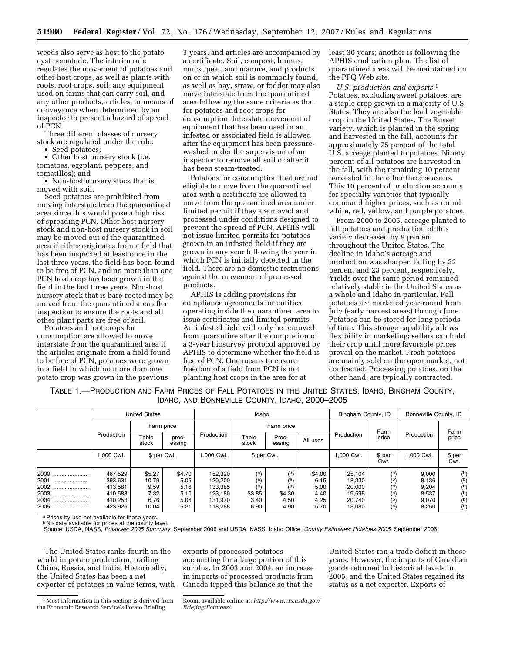weeds also serve as host to the potato cyst nematode. The interim rule regulates the movement of potatoes and other host crops, as well as plants with roots, root crops, soil, any equipment used on farms that can carry soil, and any other products, articles, or means of conveyance when determined by an inspector to present a hazard of spread of PCN.

Three different classes of nursery stock are regulated under the rule:

• Seed potatoes;

• Other host nursery stock (i.e. tomatoes, eggplant, peppers, and tomatillos); and

• Non-host nursery stock that is moved with soil.

Seed potatoes are prohibited from moving interstate from the quarantined area since this would pose a high risk of spreading PCN. Other host nursery stock and non-host nursery stock in soil may be moved out of the quarantined area if either originates from a field that has been inspected at least once in the last three years, the field has been found to be free of PCN, and no more than one PCN host crop has been grown in the field in the last three years. Non-host nursery stock that is bare-rooted may be moved from the quarantined area after inspection to ensure the roots and all other plant parts are free of soil.

Potatoes and root crops for consumption are allowed to move interstate from the quarantined area if the articles originate from a field found to be free of PCN, potatoes were grown in a field in which no more than one potato crop was grown in the previous

3 years, and articles are accompanied by a certificate. Soil, compost, humus, muck, peat, and manure, and products on or in which soil is commonly found, as well as hay, straw, or fodder may also move interstate from the quarantined area following the same criteria as that for potatoes and root crops for consumption. Interstate movement of equipment that has been used in an infested or associated field is allowed after the equipment has been pressurewashed under the supervision of an inspector to remove all soil or after it has been steam-treated.

Potatoes for consumption that are not eligible to move from the quarantined area with a certificate are allowed to move from the quarantined area under limited permit if they are moved and processed under conditions designed to prevent the spread of PCN. APHIS will not issue limited permits for potatoes grown in an infested field if they are grown in any year following the year in which PCN is initially detected in the field. There are no domestic restrictions against the movement of processed products.

APHIS is adding provisions for compliance agreements for entities operating inside the quarantined area to issue certificates and limited permits. An infested field will only be removed from quarantine after the completion of a 3-year biosurvey protocol approved by APHIS to determine whether the field is free of PCN. One means to ensure freedom of a field from PCN is not planting host crops in the area for at

least 30 years; another is following the APHIS eradication plan. The list of quarantined areas will be maintained on the PPQ Web site.

*U.S. production and exports.*1 Potatoes, excluding sweet potatoes, are a staple crop grown in a majority of U.S. States. They are also the lead vegetable crop in the United States. The Russet variety, which is planted in the spring and harvested in the fall, accounts for approximately 75 percent of the total U.S. acreage planted to potatoes. Ninety percent of all potatoes are harvested in the fall, with the remaining 10 percent harvested in the other three seasons. This 10 percent of production accounts for specialty varieties that typically command higher prices, such as round white, red, yellow, and purple potatoes.

From 2000 to 2005, acreage planted to fall potatoes and production of this variety decreased by 9 percent throughout the United States. The decline in Idaho's acreage and production was sharper, falling by 22 percent and 23 percent, respectively. Yields over the same period remained relatively stable in the United States as a whole and Idaho in particular. Fall potatoes are marketed year-round from July (early harvest areas) through June. Potatoes can be stored for long periods of time. This storage capability allows flexibility in marketing; sellers can hold their crop until more favorable prices prevail on the market. Fresh potatoes are mainly sold on the open market, not contracted. Processing potatoes, on the other hand, are typically contracted.

TABLE 1.—PRODUCTION AND FARM PRICES OF FALL POTATOES IN THE UNITED STATES, IDAHO, BINGHAM COUNTY, IDAHO, AND BONNEVILLE COUNTY, IDAHO, 2000–2005

|                                                          | <b>United States</b>                                           |                                                  |                                                | Idaho                                                          |                                             |                                             |                                                | Bingham County, ID                                       |                                                    | Bonneville County, ID                              |                                                    |
|----------------------------------------------------------|----------------------------------------------------------------|--------------------------------------------------|------------------------------------------------|----------------------------------------------------------------|---------------------------------------------|---------------------------------------------|------------------------------------------------|----------------------------------------------------------|----------------------------------------------------|----------------------------------------------------|----------------------------------------------------|
|                                                          |                                                                |                                                  | Farm price                                     |                                                                |                                             | Farm price                                  |                                                |                                                          | Farm                                               |                                                    |                                                    |
|                                                          | Production                                                     | Table<br>stock                                   | proc-<br>essing                                | Production                                                     | Table<br>stock                              | Proc-<br>essing                             | All uses                                       | Production                                               | price                                              | Production                                         | Farm<br>price                                      |
|                                                          | 1.000 Cwt.                                                     | \$ per Cwt.                                      |                                                | .000 Cwt.                                                      | \$ per Cwt.                                 |                                             |                                                | 1.000 Cwt.                                               | \$ per<br>Cwt.                                     | 1.000 Cwt.                                         | \$ per<br>Cwt.                                     |
| 2000<br>2001<br><br>2002<br>2003<br>2004<br><br>2005<br> | 467,529<br>393,631<br>413,581<br>410.588<br>410,253<br>423.926 | \$5.27<br>10.79<br>9.59<br>7.32<br>6.76<br>10.04 | \$4.70<br>5.05<br>5.16<br>5.10<br>5.06<br>5.21 | 152,320<br>120,200<br>133,385<br>123.180<br>131.970<br>118,288 | (a)<br>(a)<br>(a)<br>\$3.85<br>3.40<br>6.90 | (a)<br>(a)<br>(a)<br>\$4.30<br>4.50<br>4.90 | \$4.00<br>6.15<br>5.00<br>4.40<br>4.25<br>5.70 | 25,104<br>18,330<br>20,000<br>19,598<br>20,740<br>18,080 | $(b)$<br>$(b)$<br>$(b)$<br>$(b)$<br>$(b)$<br>$(b)$ | 9,000<br>8,136<br>9,204<br>8,537<br>9,070<br>8,250 | $(b)$<br>$(b)$<br>$(b)$<br>$(b)$<br>$(b)$<br>$(b)$ |

a Prices by use not available for these years.

b No data available for prices at the county level. Source: USDA, NASS, *Potatoes: 2005 Summary*, September 2006 and USDA, NASS, Idaho Office, *County Estimates: Potatoes 2005*, September 2006.

The United States ranks fourth in the world in potato production, trailing China, Russia, and India. Historically, the United States has been a net exporter of potatoes in value terms, with

exports of processed potatoes accounting for a large portion of this surplus. In 2003 and 2004, an increase in imports of processed products from Canada tipped this balance so that the

United States ran a trade deficit in those years. However, the imports of Canadian goods returned to historical levels in 2005, and the United States regained its status as a net exporter. Exports of

<sup>&</sup>lt;sup>1</sup> Most information in this section is derived from the Economic Research Service's Potato Briefing

Room, available online at: *http://www.ers.usda.gov/ Briefing/Potatoes/.*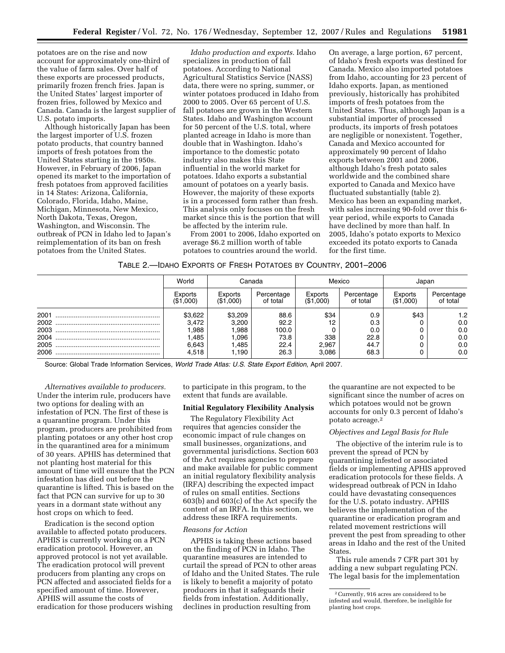potatoes are on the rise and now account for approximately one-third of the value of farm sales. Over half of these exports are processed products, primarily frozen french fries. Japan is the United States' largest importer of frozen fries, followed by Mexico and Canada. Canada is the largest supplier of U.S. potato imports.

Although historically Japan has been the largest importer of U.S. frozen potato products, that country banned imports of fresh potatoes from the United States starting in the 1950s. However, in February of 2006, Japan opened its market to the importation of fresh potatoes from approved facilities in 14 States: Arizona, California, Colorado, Florida, Idaho, Maine, Michigan, Minnesota, New Mexico, North Dakota, Texas, Oregon, Washington, and Wisconsin. The outbreak of PCN in Idaho led to Japan's reimplementation of its ban on fresh potatoes from the United States.

*Idaho production and exports.* Idaho specializes in production of fall potatoes. According to National Agricultural Statistics Service (NASS) data, there were no spring, summer, or winter potatoes produced in Idaho from 2000 to 2005. Over 65 percent of U.S. fall potatoes are grown in the Western States. Idaho and Washington account for 50 percent of the U.S. total, where planted acreage in Idaho is more than double that in Washington. Idaho's importance to the domestic potato industry also makes this State influential in the world market for potatoes. Idaho exports a substantial amount of potatoes on a yearly basis. However, the majority of these exports is in a processed form rather than fresh. This analysis only focuses on the fresh market since this is the portion that will be affected by the interim rule.

From 2001 to 2006, Idaho exported on average \$6.2 million worth of table potatoes to countries around the world.

On average, a large portion, 67 percent, of Idaho's fresh exports was destined for Canada. Mexico also imported potatoes from Idaho, accounting for 23 percent of Idaho exports. Japan, as mentioned previously, historically has prohibited imports of fresh potatoes from the United States. Thus, although Japan is a substantial importer of processed products, its imports of fresh potatoes are negligible or nonexistent. Together, Canada and Mexico accounted for approximately 90 percent of Idaho exports between 2001 and 2006, although Idaho's fresh potato sales worldwide and the combined share exported to Canada and Mexico have fluctuated substantially (table 2). Mexico has been an expanding market, with sales increasing 90-fold over this 6 year period, while exports to Canada have declined by more than half. In 2005, Idaho's potato exports to Mexico exceeded its potato exports to Canada for the first time.

|  |  | TABLE 2.- IDAHO EXPORTS OF FRESH POTATOES BY COUNTRY, 2001-2006 |  |  |
|--|--|-----------------------------------------------------------------|--|--|
|--|--|-----------------------------------------------------------------|--|--|

|      | World                | Canada               |                        | Mexico               |                        | Japan                |                        |
|------|----------------------|----------------------|------------------------|----------------------|------------------------|----------------------|------------------------|
|      | Exports<br>(\$1,000) | Exports<br>(\$1,000) | Percentage<br>of total | Exports<br>(\$1,000) | Percentage<br>of total | Exports<br>(\$1,000) | Percentage<br>of total |
| 2001 | \$3,622              | \$3,209              | 88.6                   | \$34                 | 0.9                    | \$43                 | 1.2                    |
|      | 3.472                | 3,200                | 92.2                   | 12                   | 0.3                    |                      | 0.0                    |
| 2003 | .988                 | 1.988                | 100.0                  |                      | 0.0                    |                      | 0.0                    |
| 2004 | .485                 | 1,096                | 73.8                   | 338                  | 22.8                   |                      | 0.0                    |
| 2005 | 6.643                | 1.485                | 22.4                   | 2.967                | 44.7                   |                      | 0.0                    |
| 2006 | 4.518                | ∣.190                | 26.3                   | 3.086                | 68.3                   |                      | 0.0                    |

Source: Global Trade Information Services, *World Trade Atlas: U.S. State Export Edition*, April 2007.

*Alternatives available to producers.*  Under the interim rule, producers have two options for dealing with an infestation of PCN. The first of these is a quarantine program. Under this program, producers are prohibited from planting potatoes or any other host crop in the quarantined area for a minimum of 30 years. APHIS has determined that not planting host material for this amount of time will ensure that the PCN infestation has died out before the quarantine is lifted. This is based on the fact that PCN can survive for up to 30 years in a dormant state without any host crops on which to feed.

Eradication is the second option available to affected potato producers. APHIS is currently working on a PCN eradication protocol. However, an approved protocol is not yet available. The eradication protocol will prevent producers from planting any crops on PCN affected and associated fields for a specified amount of time. However, APHIS will assume the costs of eradication for those producers wishing

to participate in this program, to the extent that funds are available.

## **Initial Regulatory Flexibility Analysis**

The Regulatory Flexibility Act requires that agencies consider the economic impact of rule changes on small businesses, organizations, and governmental jurisdictions. Section 603 of the Act requires agencies to prepare and make available for public comment an initial regulatory flexibility analysis (IRFA) describing the expected impact of rules on small entities. Sections 603(b) and 603(c) of the Act specify the content of an IRFA. In this section, we address these IRFA requirements.

#### *Reasons for Action*

APHIS is taking these actions based on the finding of PCN in Idaho. The quarantine measures are intended to curtail the spread of PCN to other areas of Idaho and the United States. The rule is likely to benefit a majority of potato producers in that it safeguards their fields from infestation. Additionally, declines in production resulting from

the quarantine are not expected to be significant since the number of acres on which potatoes would not be grown accounts for only 0.3 percent of Idaho's potato acreage.2

#### *Objectives and Legal Basis for Rule*

The objective of the interim rule is to prevent the spread of PCN by quarantining infested or associated fields or implementing APHIS approved eradication protocols for these fields. A widespread outbreak of PCN in Idaho could have devastating consequences for the U.S. potato industry. APHIS believes the implementation of the quarantine or eradication program and related movement restrictions will prevent the pest from spreading to other areas in Idaho and the rest of the United **States**.

This rule amends 7 CFR part 301 by adding a new subpart regulating PCN. The legal basis for the implementation

<sup>2</sup>Currently, 916 acres are considered to be infested and would, therefore, be ineligible for planting host crops.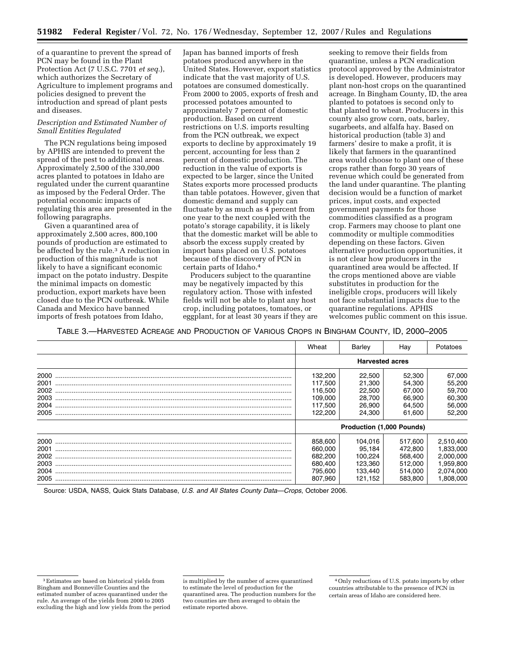of a quarantine to prevent the spread of PCN may be found in the Plant Protection Act (7 U.S.C. 7701 *et seq.*), which authorizes the Secretary of Agriculture to implement programs and policies designed to prevent the introduction and spread of plant pests and diseases.

## *Description and Estimated Number of Small Entities Regulated*

The PCN regulations being imposed by APHIS are intended to prevent the spread of the pest to additional areas. Approximately 2,500 of the 330,000 acres planted to potatoes in Idaho are regulated under the current quarantine as imposed by the Federal Order. The potential economic impacts of regulating this area are presented in the following paragraphs.

Given a quarantined area of approximately 2,500 acres, 800,100 pounds of production are estimated to be affected by the rule.<sup>3</sup> A reduction in production of this magnitude is not likely to have a significant economic impact on the potato industry. Despite the minimal impacts on domestic production, export markets have been closed due to the PCN outbreak. While Canada and Mexico have banned imports of fresh potatoes from Idaho,

Japan has banned imports of fresh potatoes produced anywhere in the United States. However, export statistics indicate that the vast majority of U.S. potatoes are consumed domestically. From 2000 to 2005, exports of fresh and processed potatoes amounted to approximately 7 percent of domestic production. Based on current restrictions on U.S. imports resulting from the PCN outbreak, we expect exports to decline by approximately 19 percent, accounting for less than 2 percent of domestic production. The reduction in the value of exports is expected to be larger, since the United States exports more processed products than table potatoes. However, given that domestic demand and supply can fluctuate by as much as 4 percent from one year to the next coupled with the potato's storage capability, it is likely that the domestic market will be able to absorb the excess supply created by import bans placed on U.S. potatoes because of the discovery of PCN in certain parts of Idaho.4

Producers subject to the quarantine may be negatively impacted by this regulatory action. Those with infested fields will not be able to plant any host crop, including potatoes, tomatoes, or eggplant, for at least 30 years if they are

seeking to remove their fields from quarantine, unless a PCN eradication protocol approved by the Administrator is developed. However, producers may plant non-host crops on the quarantined acreage. In Bingham County, ID, the area planted to potatoes is second only to that planted to wheat. Producers in this county also grow corn, oats, barley, sugarbeets, and alfalfa hay. Based on historical production (table 3) and farmers' desire to make a profit, it is likely that farmers in the quarantined area would choose to plant one of these crops rather than forgo 30 years of revenue which could be generated from the land under quarantine. The planting decision would be a function of market prices, input costs, and expected government payments for those commodities classified as a program crop. Farmers may choose to plant one commodity or multiple commodities depending on these factors. Given alternative production opportunities, it is not clear how producers in the quarantined area would be affected. If the crops mentioned above are viable substitutes in production for the ineligible crops, producers will likely not face substantial impacts due to the quarantine regulations. APHIS welcomes public comment on this issue.

TABLE 3.—HARVESTED ACREAGE AND PRODUCTION OF VARIOUS CROPS IN BINGHAM COUNTY, ID, 2000–2005

|      | Wheat   | Barley                           | Hay     | Potatoes  |
|------|---------|----------------------------------|---------|-----------|
|      |         | <b>Harvested acres</b>           |         |           |
| 2000 | 132,200 | 22,500                           | 52,300  | 67,000    |
| 2001 | 117,500 | 21,300                           | 54,300  | 55,200    |
| 2002 | 116.500 | 22.500                           | 67.000  | 59,700    |
| 2003 | 109.000 | 28,700                           | 66,900  | 60,300    |
| 2004 | 117.500 | 26,900                           | 64,500  | 56,000    |
| 2005 | 122,200 | 24.300                           | 61.600  | 52,200    |
|      |         | <b>Production (1,000 Pounds)</b> |         |           |
| 2000 | 858,600 | 104.016                          | 517.600 | 2,510,400 |
| 2001 | 660,000 | 95,184                           | 472.800 | 1,833,000 |
| 2002 | 682.200 | 100,224                          | 568,400 | 2,000,000 |
| 2003 | 680.400 | 123,360                          | 512,000 | 1,959,800 |
| 2004 | 795,600 | 133.440                          | 514.000 | 2,074,000 |
| 2005 | 807.960 | 121,152                          | 583.800 | 1,808,000 |

Source: USDA, NASS, Quick Stats Database, *U.S. and All States County Data—Crops*, October 2006.

<sup>3</sup>Estimates are based on historical yields from Bingham and Bonneville Counties and the estimated number of acres quarantined under the rule. An average of the yields from 2000 to 2005 excluding the high and low yields from the period

is multiplied by the number of acres quarantined to estimate the level of production for the quarantined area. The production numbers for the two counties are then averaged to obtain the estimate reported above.

<sup>4</sup>Only reductions of U.S. potato imports by other countries attributable to the presence of PCN in certain areas of Idaho are considered here.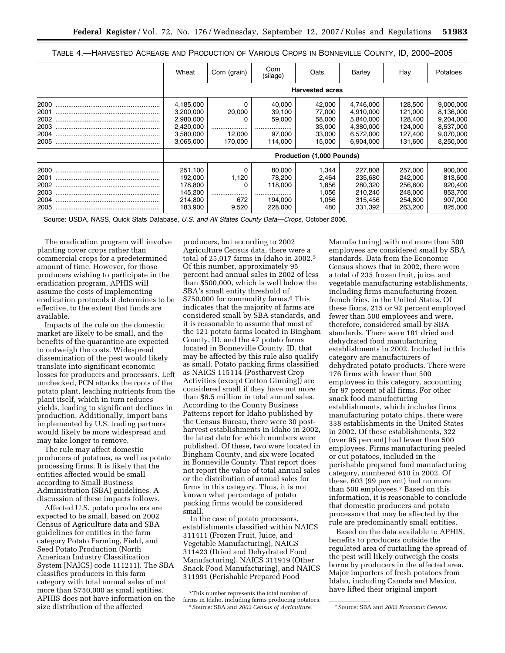| TABLE 4.—HARVESTED ACREAGE AND PRODUCTION OF VARIOUS CROPS IN BONNEVILLE COUNTY, ID, 2000—2005 |  |  |  |
|------------------------------------------------------------------------------------------------|--|--|--|
|------------------------------------------------------------------------------------------------|--|--|--|

|                                              | Wheat                                                                      | Corn (grain)                     | Corn<br>(silage)                                      | Oats                                                     | Barley                                                                     | Hav                                                            | Potatoes                                                                   |
|----------------------------------------------|----------------------------------------------------------------------------|----------------------------------|-------------------------------------------------------|----------------------------------------------------------|----------------------------------------------------------------------------|----------------------------------------------------------------|----------------------------------------------------------------------------|
|                                              |                                                                            |                                  |                                                       | <b>Harvested acres</b>                                   |                                                                            |                                                                |                                                                            |
| 2000<br>2001<br>2002<br>2003<br>2004<br>2005 | 4,185,000<br>3,200,000<br>2,980,000<br>2,420,000<br>3.580.000<br>3,065,000 | 20,000<br>0<br>12.000<br>170,000 | 40.000<br>39,100<br>59,000<br>97.000<br>114,000       | 42.000<br>77.000<br>58.000<br>33,000<br>33,000<br>15,000 | 4.746.000<br>4,910,000<br>5,840,000<br>4,380,000<br>6,572,000<br>6.904.000 | 128.500<br>121.000<br>128.400<br>124.000<br>127.400<br>131,600 | 9,000,000<br>8,136,000<br>9,204,000<br>8,537,000<br>9,070,000<br>8,250,000 |
|                                              | <b>Production (1,000 Pounds)</b>                                           |                                  |                                                       |                                                          |                                                                            |                                                                |                                                                            |
| 2000<br>2001<br>2002<br>2003<br>2004<br>2005 | 251.100<br>192,000<br>178,800<br>145,200<br>214.800<br>183,900             | 1,120<br>0<br>672<br>9,520       | 80,000<br>78,200<br>118,000<br><br>194,000<br>228,000 | 1.344<br>2,464<br>1,856<br>1,056<br>1,056<br>480         | 227.808<br>235,680<br>280,320<br>210.240<br>315,456<br>331,392             | 257.000<br>242,000<br>256,800<br>248,000<br>254,800<br>263,200 | 900,000<br>813,600<br>920,400<br>853,700<br>907,000<br>825,000             |

Source: USDA, NASS, Quick Stats Database, *U.S. and All States County Data—Crops*, October 2006.

The eradication program will involve planting cover crops rather than commercial crops for a predetermined amount of time. However, for those producers wishing to participate in the eradication program, APHIS will assume the costs of implementing eradication protocols it determines to be effective, to the extent that funds are available.

Impacts of the rule on the domestic market are likely to be small, and the benefits of the quarantine are expected to outweigh the costs. Widespread dissemination of the pest would likely translate into significant economic losses for producers and processors. Left unchecked, PCN attacks the roots of the potato plant, leaching nutrients from the plant itself, which in turn reduces yields, leading to significant declines in production. Additionally, import bans implemented by U.S. trading partners would likely be more widespread and may take longer to remove.

The rule may affect domestic producers of potatoes, as well as potato processing firms. It is likely that the entities affected would be small according to Small Business Administration (SBA) guidelines. A discussion of these impacts follows.

Affected U.S. potato producers are expected to be small, based on 2002 Census of Agriculture data and SBA guidelines for entities in the farm category Potato Farming, Field, and Seed Potato Production (North American Industry Classification System [NAICS] code 111211). The SBA classifies producers in this farm category with total annual sales of not more than \$750,000 as small entities. APHIS does not have information on the size distribution of the affected

producers, but according to 2002 Agriculture Census data, there were a total of 25,017 farms in Idaho in 2002.5 Of this number, approximately 95 percent had annual sales in 2002 of less than \$500,000, which is well below the SBA's small entity threshold of \$750,000 for commodity farms.6 This indicates that the majority of farms are considered small by SBA standards, and it is reasonable to assume that most of the 121 potato farms located in Bingham County, ID, and the 47 potato farms located in Bonneville County, ID, that may be affected by this rule also qualify as small. Potato packing firms classified as NAICS 115114 (Postharvest Crop Activities (except Cotton Ginning)) are considered small if they have not more than \$6.5 million in total annual sales. According to the County Business Patterns report for Idaho published by the Census Bureau, there were 30 postharvest establishments in Idaho in 2002, the latest date for which numbers were published. Of these, two were located in Bingham County, and six were located in Bonneville County. That report does not report the value of total annual sales or the distribution of annual sales for firms in this category. Thus, it is not known what percentage of potato packing firms would be considered small.

In the case of potato processors, establishments classified within NAICS 311411 (Frozen Fruit, Juice, and Vegetable Manufacturing), NAICS 311423 (Dried and Dehydrated Food Manufacturing), NAICS 311919 (Other Snack Food Manufacturing), and NAICS 311991 (Perishable Prepared Food

Manufacturing) with not more than 500 employees are considered small by SBA standards. Data from the Economic Census shows that in 2002, there were a total of 235 frozen fruit, juice, and vegetable manufacturing establishments, including firms manufacturing frozen french fries, in the United States. Of these firms, 215 or 92 percent employed fewer than 500 employees and were, therefore, considered small by SBA standards. There were 181 dried and dehydrated food manufacturing establishments in 2002. Included in this category are manufacturers of dehydrated potato products. There were 176 firms with fewer than 500 employees in this category, accounting for 97 percent of all firms. For other snack food manufacturing establishments, which includes firms manufacturing potato chips, there were 338 establishments in the United States in 2002. Of these establishments, 322 (over 95 percent) had fewer than 500 employees. Firms manufacturing peeled or cut potatoes, included in the perishable prepared food manufacturing category, numbered 610 in 2002. Of these, 603 (99 percent) had no more than 500 employees.7 Based on this information, it is reasonable to conclude that domestic producers and potato processors that may be affected by the rule are predominantly small entities.

Based on the data available to APHIS, benefits to producers outside the regulated area of curtailing the spread of the pest will likely outweigh the costs borne by producers in the affected area. Major importers of fresh potatoes from Idaho, including Canada and Mexico, have lifted their original import

<sup>5</sup>This number represents the total number of farms in Idaho, including farms producing potatoes. 6Source: SBA and *2002 Census of Agriculture*. 7Source: SBA and *2002 Economic Census*.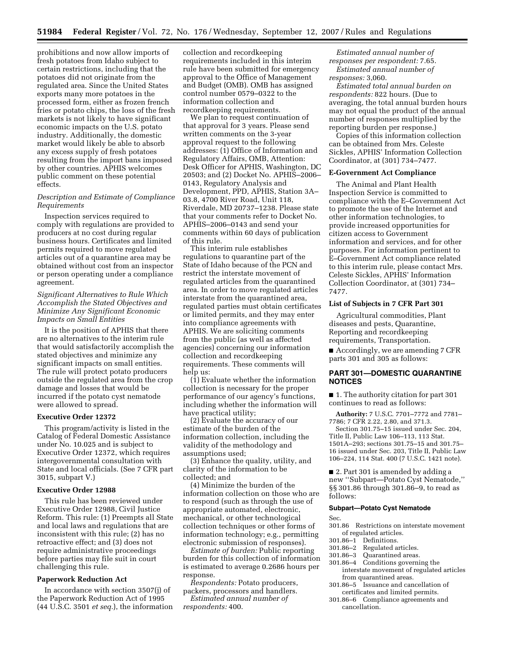prohibitions and now allow imports of fresh potatoes from Idaho subject to certain restrictions, including that the potatoes did not originate from the regulated area. Since the United States exports many more potatoes in the processed form, either as frozen french fries or potato chips, the loss of the fresh markets is not likely to have significant economic impacts on the U.S. potato industry. Additionally, the domestic market would likely be able to absorb any excess supply of fresh potatoes resulting from the import bans imposed by other countries. APHIS welcomes public comment on these potential effects.

## *Description and Estimate of Compliance Requirements*

Inspection services required to comply with regulations are provided to producers at no cost during regular business hours. Certificates and limited permits required to move regulated articles out of a quarantine area may be obtained without cost from an inspector or person operating under a compliance agreement.

## *Significant Alternatives to Rule Which Accomplish the Stated Objectives and Minimize Any Significant Economic Impacts on Small Entities*

It is the position of APHIS that there are no alternatives to the interim rule that would satisfactorily accomplish the stated objectives and minimize any significant impacts on small entities. The rule will protect potato producers outside the regulated area from the crop damage and losses that would be incurred if the potato cyst nematode were allowed to spread.

#### **Executive Order 12372**

This program/activity is listed in the Catalog of Federal Domestic Assistance under No. 10.025 and is subject to Executive Order 12372, which requires intergovernmental consultation with State and local officials. (See 7 CFR part 3015, subpart V.)

## **Executive Order 12988**

This rule has been reviewed under Executive Order 12988, Civil Justice Reform. This rule: (1) Preempts all State and local laws and regulations that are inconsistent with this rule; (2) has no retroactive effect; and (3) does not require administrative proceedings before parties may file suit in court challenging this rule.

# **Paperwork Reduction Act**

In accordance with section 3507(j) of the Paperwork Reduction Act of 1995 (44 U.S.C. 3501 *et seq.*), the information

collection and recordkeeping requirements included in this interim rule have been submitted for emergency approval to the Office of Management and Budget (OMB). OMB has assigned control number 0579–0322 to the information collection and recordkeeping requirements.

We plan to request continuation of that approval for 3 years. Please send written comments on the 3-year approval request to the following addresses: (1) Office of Information and Regulatory Affairs, OMB, Attention: Desk Officer for APHIS, Washington, DC 20503; and (2) Docket No. APHIS–2006– 0143, Regulatory Analysis and Development, PPD, APHIS, Station 3A– 03.8, 4700 River Road, Unit 118, Riverdale, MD 20737–1238. Please state that your comments refer to Docket No. APHIS–2006–0143 and send your comments within 60 days of publication of this rule.

This interim rule establishes regulations to quarantine part of the State of Idaho because of the PCN and restrict the interstate movement of regulated articles from the quarantined area. In order to move regulated articles interstate from the quarantined area, regulated parties must obtain certificates or limited permits, and they may enter into compliance agreements with APHIS. We are soliciting comments from the public (as well as affected agencies) concerning our information collection and recordkeeping requirements. These comments will help us:

(1) Evaluate whether the information collection is necessary for the proper performance of our agency's functions, including whether the information will have practical utility;

(2) Evaluate the accuracy of our estimate of the burden of the information collection, including the validity of the methodology and assumptions used;

(3) Enhance the quality, utility, and clarity of the information to be collected; and

(4) Minimize the burden of the information collection on those who are to respond (such as through the use of appropriate automated, electronic, mechanical, or other technological collection techniques or other forms of information technology; e.g., permitting electronic submission of responses).

*Estimate of burden:* Public reporting burden for this collection of information is estimated to average 0.2686 hours per response.

*Respondents:* Potato producers, packers, processors and handlers. *Estimated annual number of respondents:* 400.

*Estimated annual number of responses per respondent:* 7.65. *Estimated annual number of responses:* 3,060.

*Estimated total annual burden on respondents:* 822 hours. (Due to averaging, the total annual burden hours may not equal the product of the annual number of responses multiplied by the reporting burden per response.)

Copies of this information collection can be obtained from Mrs. Celeste Sickles, APHIS' Information Collection Coordinator, at (301) 734–7477.

## **E-Government Act Compliance**

The Animal and Plant Health Inspection Service is committed to compliance with the E–Government Act to promote the use of the Internet and other information technologies, to provide increased opportunities for citizen access to Government information and services, and for other purposes. For information pertinent to E–Government Act compliance related to this interim rule, please contact Mrs. Celeste Sickles, APHIS' Information Collection Coordinator, at (301) 734– 7477.

## **List of Subjects in 7 CFR Part 301**

Agricultural commodities, Plant diseases and pests, Quarantine, Reporting and recordkeeping requirements, Transportation.

■ Accordingly, we are amending 7 CFR parts 301 and 305 as follows:

## **PART 301—DOMESTIC QUARANTINE NOTICES**

■ 1. The authority citation for part 301 continues to read as follows:

**Authority:** 7 U.S.C. 7701–7772 and 7781– 7786; 7 CFR 2.22, 2.80, and 371.3.

Section 301.75–15 issued under Sec. 204, Title II, Public Law 106–113, 113 Stat. 1501A–293; sections 301.75–15 and 301.75– 16 issued under Sec. 203, Title II, Public Law 106–224, 114 Stat. 400 (7 U.S.C. 1421 note).

■ 2. Part 301 is amended by adding a new ''Subpart—Potato Cyst Nematode,'' §§ 301.86 through 301.86–9, to read as follows:

#### **Subpart—Potato Cyst Nematode**

#### Sec.

- 301.86 Restrictions on interstate movement of regulated articles.
- $301.86-1$  Definitions.<br> $301.86-2$  Regulated at
- 301.86–2 Regulated articles.
- Ouarantined areas.
- 301.86–4 Conditions governing the interstate movement of regulated articles from quarantined areas.
- 301.86–5 Issuance and cancellation of certificates and limited permits.
- 301.86–6 Compliance agreements and cancellation.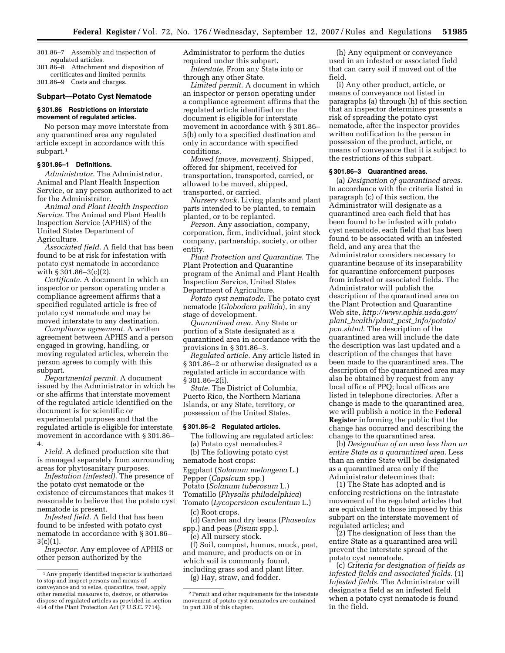301.86–7 Assembly and inspection of regulated articles.

301.86–8 Attachment and disposition of certificates and limited permits. 301.86–9 Costs and charges.

#### **Subpart—Potato Cyst Nematode**

#### **§ 301.86 Restrictions on interstate movement of regulated articles.**

No person may move interstate from any quarantined area any regulated article except in accordance with this subpart.1

#### **§ 301.86–1 Definitions.**

*Administrator.* The Administrator, Animal and Plant Health Inspection Service, or any person authorized to act for the Administrator.

*Animal and Plant Health Inspection Service.* The Animal and Plant Health Inspection Service (APHIS) of the United States Department of Agriculture.

*Associated field.* A field that has been found to be at risk for infestation with potato cyst nematode in accordance with § 301.86–3(c)(2).

*Certificate.* A document in which an inspector or person operating under a compliance agreement affirms that a specified regulated article is free of potato cyst nematode and may be moved interstate to any destination.

*Compliance agreement.* A written agreement between APHIS and a person engaged in growing, handling, or moving regulated articles, wherein the person agrees to comply with this subpart.

*Departmental permit.* A document issued by the Administrator in which he or she affirms that interstate movement of the regulated article identified on the document is for scientific or experimental purposes and that the regulated article is eligible for interstate movement in accordance with § 301.86– 4.

*Field.* A defined production site that is managed separately from surrounding areas for phytosanitary purposes.

*Infestation (infested).* The presence of the potato cyst nematode or the existence of circumstances that makes it reasonable to believe that the potato cyst nematode is present.

*Infested field.* A field that has been found to be infested with potato cyst nematode in accordance with § 301.86–  $3(c)(1)$ .

*Inspector.* Any employee of APHIS or other person authorized by the

Administrator to perform the duties required under this subpart.

*Interstate.* From any State into or through any other State.

*Limited permit.* A document in which an inspector or person operating under a compliance agreement affirms that the regulated article identified on the document is eligible for interstate movement in accordance with § 301.86– 5(b) only to a specified destination and only in accordance with specified conditions.

*Moved (move, movement).* Shipped, offered for shipment, received for transportation, transported, carried, or allowed to be moved, shipped, transported, or carried.

*Nursery stock.* Living plants and plant parts intended to be planted, to remain planted, or to be replanted.

*Person.* Any association, company, corporation, firm, individual, joint stock company, partnership, society, or other entity.

*Plant Protection and Quarantine.* The Plant Protection and Quarantine program of the Animal and Plant Health Inspection Service, United States Department of Agriculture.

*Potato cyst nematode.* The potato cyst nematode (*Globodera pallida*), in any stage of development.

*Quarantined area.* Any State or portion of a State designated as a quarantined area in accordance with the provisions in § 301.86–3.

*Regulated article.* Any article listed in § 301.86–2 or otherwise designated as a regulated article in accordance with § 301.86–2(i).

*State.* The District of Columbia, Puerto Rico, the Northern Mariana Islands, or any State, territory, or possession of the United States.

#### **§ 301.86–2 Regulated articles.**

The following are regulated articles: (a) Potato cyst nematodes.2

(b) The following potato cyst

nematode host crops:

Eggplant (*Solanum melongena* L.)

Pepper (*Capsicum* spp.)

Potato (*Solanum tuberosum* L.)

Tomatillo (*Physalis philadelphica*)

Tomato (*Lycopersicon esculentum* L.)

(c) Root crops.

(d) Garden and dry beans (*Phaseolus*  spp.) and peas (*Pisum* spp.).

(e) All nursery stock.

(f) Soil, compost, humus, muck, peat, and manure, and products on or in which soil is commonly found, including grass sod and plant litter.

(g) Hay, straw, and fodder.

(h) Any equipment or conveyance used in an infested or associated field that can carry soil if moved out of the field.

(i) Any other product, article, or means of conveyance not listed in paragraphs (a) through (h) of this section that an inspector determines presents a risk of spreading the potato cyst nematode, after the inspector provides written notification to the person in possession of the product, article, or means of conveyance that it is subject to the restrictions of this subpart.

## **§ 301.86–3 Quarantined areas.**

(a) *Designation of quarantined areas.*  In accordance with the criteria listed in paragraph (c) of this section, the Administrator will designate as a quarantined area each field that has been found to be infested with potato cyst nematode, each field that has been found to be associated with an infested field, and any area that the Administrator considers necessary to quarantine because of its inseparability for quarantine enforcement purposes from infested or associated fields. The Administrator will publish the description of the quarantined area on the Plant Protection and Quarantine Web site, *http://www.aphis.usda.gov/ plant*\_*health/plant*\_*pest*\_*info/potato/ pcn.shtml*. The description of the quarantined area will include the date the description was last updated and a description of the changes that have been made to the quarantined area. The description of the quarantined area may also be obtained by request from any local office of PPQ; local offices are listed in telephone directories. After a change is made to the quarantined area, we will publish a notice in the **Federal Register** informing the public that the change has occurred and describing the change to the quarantined area.

(b) *Designation of an area less than an entire State as a quarantined area.* Less than an entire State will be designated as a quarantined area only if the Administrator determines that:

(1) The State has adopted and is enforcing restrictions on the intrastate movement of the regulated articles that are equivalent to those imposed by this subpart on the interstate movement of regulated articles; and

(2) The designation of less than the entire State as a quarantined area will prevent the interstate spread of the potato cyst nematode.

(c) *Criteria for designation of fields as infested fields and associated fields.* (1) *Infested fields.* The Administrator will designate a field as an infested field when a potato cyst nematode is found in the field.

<sup>1</sup>Any properly identified inspector is authorized to stop and inspect persons and means of conveyance and to seize, quarantine, treat, apply other remedial measures to, destroy, or otherwise dispose of regulated articles as provided in section 414 of the Plant Protection Act (7 U.S.C. 7714).

<sup>2</sup>Permit and other requirements for the interstate movement of potato cyst nematodes are contained in part 330 of this chapter.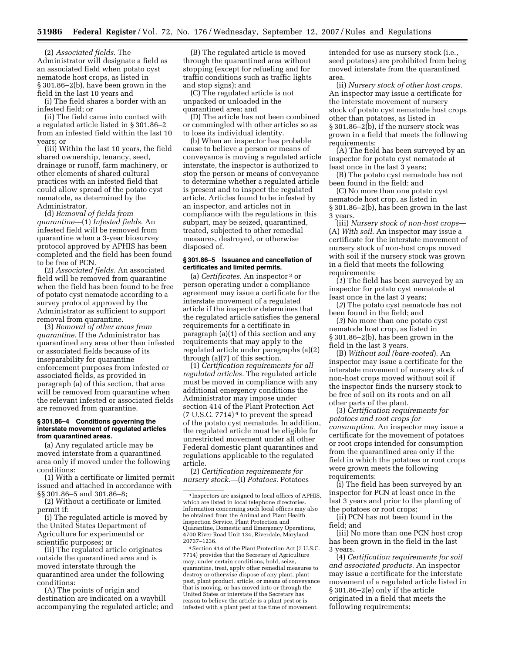(2) *Associated fields.* The Administrator will designate a field as an associated field when potato cyst nematode host crops, as listed in § 301.86–2(b), have been grown in the field in the last 10 years and

(i) The field shares a border with an infested field; or

(ii) The field came into contact with a regulated article listed in § 301.86–2 from an infested field within the last 10 years; or

(iii) Within the last 10 years, the field shared ownership, tenancy, seed, drainage or runoff, farm machinery, or other elements of shared cultural practices with an infested field that could allow spread of the potato cyst nematode, as determined by the Administrator.

(d) *Removal of fields from quarantine*—(1) *Infested fields.* An infested field will be removed from quarantine when a 3-year biosurvey protocol approved by APHIS has been completed and the field has been found to be free of PCN.

(2) *Associated fields.* An associated field will be removed from quarantine when the field has been found to be free of potato cyst nematode according to a survey protocol approved by the Administrator as sufficient to support removal from quarantine.

(3) *Removal of other areas from quarantine.* If the Administrator has quarantined any area other than infested or associated fields because of its inseparability for quarantine enforcement purposes from infested or associated fields, as provided in paragraph (a) of this section, that area will be removed from quarantine when the relevant infested or associated fields are removed from quarantine.

#### **§ 301.86–4 Conditions governing the interstate movement of regulated articles from quarantined areas.**

(a) Any regulated article may be moved interstate from a quarantined area only if moved under the following conditions:

(1) With a certificate or limited permit issued and attached in accordance with §§ 301.86–5 and 301.86–8;

(2) Without a certificate or limited permit if:

(i) The regulated article is moved by the United States Department of Agriculture for experimental or scientific purposes; or

(ii) The regulated article originates outside the quarantined area and is moved interstate through the quarantined area under the following conditions:

(A) The points of origin and destination are indicated on a waybill accompanying the regulated article; and

(B) The regulated article is moved through the quarantined area without stopping (except for refueling and for traffic conditions such as traffic lights and stop signs); and

(C) The regulated article is not unpacked or unloaded in the quarantined area; and

(D) The article has not been combined or commingled with other articles so as to lose its individual identity.

(b) When an inspector has probable cause to believe a person or means of conveyance is moving a regulated article interstate, the inspector is authorized to stop the person or means of conveyance to determine whether a regulated article is present and to inspect the regulated article. Articles found to be infested by an inspector, and articles not in compliance with the regulations in this subpart, may be seized, quarantined, treated, subjected to other remedial measures, destroyed, or otherwise disposed of.

#### **§ 301.86–5 Issuance and cancellation of certificates and limited permits.**

(a) *Certificates.* An inspector 3 or person operating under a compliance agreement may issue a certificate for the interstate movement of a regulated article if the inspector determines that the regulated article satisfies the general requirements for a certificate in paragraph (a)(1) of this section and any requirements that may apply to the regulated article under paragraphs (a)(2) through (a)(7) of this section.

(1) *Certification requirements for all regulated articles.* The regulated article must be moved in compliance with any additional emergency conditions the Administrator may impose under section 414 of the Plant Protection Act  $(7 \text{ U.S.C. } 7714)^4$  to prevent the spread of the potato cyst nematode. In addition, the regulated article must be eligible for unrestricted movement under all other Federal domestic plant quarantines and regulations applicable to the regulated article.

(2) *Certification requirements for nursery stock.*—(i) *Potatoes.* Potatoes

4Section 414 of the Plant Protection Act (7 U.S.C. 7714) provides that the Secretary of Agriculture may, under certain conditions, hold, seize, quarantine, treat, apply other remedial measures to destroy or otherwise dispose of any plant, plant pest, plant product, article, or means of conveyance that is moving, or has moved into or through the United States or interstate if the Secretary has reason to believe the article is a plant pest or is infested with a plant pest at the time of movement.

intended for use as nursery stock (i.e., seed potatoes) are prohibited from being moved interstate from the quarantined area.

(ii) *Nursery stock of other host crops.*  An inspector may issue a certificate for the interstate movement of nursery stock of potato cyst nematode host crops other than potatoes, as listed in § 301.86–2(b), if the nursery stock was grown in a field that meets the following requirements:

(A) The field has been surveyed by an inspector for potato cyst nematode at least once in the last 3 years;

(B) The potato cyst nematode has not been found in the field; and

(C) No more than one potato cyst nematode host crop, as listed in § 301.86–2(b), has been grown in the last 3 years.

(iii) *Nursery stock of non-host crops*— (A) *With soil.* An inspector may issue a certificate for the interstate movement of nursery stock of non-host crops moved with soil if the nursery stock was grown in a field that meets the following requirements:

(*1*) The field has been surveyed by an inspector for potato cyst nematode at least once in the last 3 years;

(*2*) The potato cyst nematode has not been found in the field; and

(*3*) No more than one potato cyst nematode host crop, as listed in § 301.86–2(b), has been grown in the field in the last 3 years.

(B) *Without soil (bare-rooted*). An inspector may issue a certificate for the interstate movement of nursery stock of non-host crops moved without soil if the inspector finds the nursery stock to be free of soil on its roots and on all other parts of the plant.

(3) *Certification requirements for potatoes and root crops for consumption.* An inspector may issue a certificate for the movement of potatoes or root crops intended for consumption from the quarantined area only if the field in which the potatoes or root crops were grown meets the following requirements:

(i) The field has been surveyed by an inspector for PCN at least once in the last 3 years and prior to the planting of the potatoes or root crops;

(ii) PCN has not been found in the field; and

(iii) No more than one PCN host crop has been grown in the field in the last 3 years.

(4) *Certification requirements for soil and associated products.* An inspector may issue a certificate for the interstate movement of a regulated article listed in § 301.86–2(e) only if the article originated in a field that meets the following requirements:

<sup>3</sup> Inspectors are assigned to local offices of APHIS, which are listed in local telephone directories. Information concerning such local offices may also be obtained from the Animal and Plant Health Inspection Service, Plant Protection and Quarantine, Domestic and Emergency Operations, 4700 River Road Unit 134, Riverdale, Maryland 20737–1236.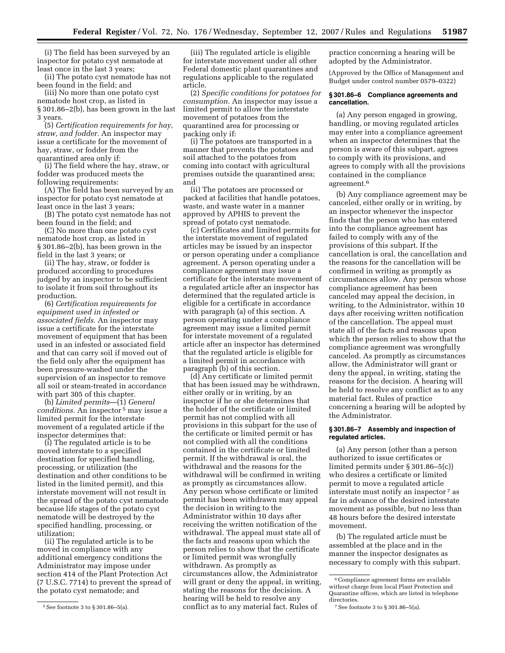(i) The field has been surveyed by an inspector for potato cyst nematode at least once in the last 3 years;

(ii) The potato cyst nematode has not been found in the field; and

(iii) No more than one potato cyst nematode host crop, as listed in § 301.86–2(b), has been grown in the last 3 years.

(5) *Certification requirements for hay, straw, and fodder.* An inspector may issue a certificate for the movement of hay, straw, or fodder from the quarantined area only if:

(i) The field where the hay, straw, or fodder was produced meets the following requirements:

(A) The field has been surveyed by an inspector for potato cyst nematode at least once in the last 3 years;

(B) The potato cyst nematode has not been found in the field; and

(C) No more than one potato cyst nematode host crop, as listed in § 301.86–2(b), has been grown in the field in the last 3 years; or

(ii) The hay, straw, or fodder is produced according to procedures judged by an inspector to be sufficient to isolate it from soil throughout its production.

(6) *Certification requirements for equipment used in infested or associated fields.* An inspector may issue a certificate for the interstate movement of equipment that has been used in an infested or associated field and that can carry soil if moved out of the field only after the equipment has been pressure-washed under the supervision of an inspector to remove all soil or steam-treated in accordance with part 305 of this chapter.

(b) *Limited permits*—(1) *General conditions.* An inspector 5 may issue a limited permit for the interstate movement of a regulated article if the inspector determines that:

(i) The regulated article is to be moved interstate to a specified destination for specified handling, processing, or utilization (the destination and other conditions to be listed in the limited permit), and this interstate movement will not result in the spread of the potato cyst nematode because life stages of the potato cyst nematode will be destroyed by the specified handling, processing, or utilization;

(ii) The regulated article is to be moved in compliance with any additional emergency conditions the Administrator may impose under section 414 of the Plant Protection Act (7 U.S.C. 7714) to prevent the spread of the potato cyst nematode; and

(iii) The regulated article is eligible for interstate movement under all other Federal domestic plant quarantines and regulations applicable to the regulated article.

(2) *Specific conditions for potatoes for consumption.* An inspector may issue a limited permit to allow the interstate movement of potatoes from the quarantined area for processing or packing only if:

(i) The potatoes are transported in a manner that prevents the potatoes and soil attached to the potatoes from coming into contact with agricultural premises outside the quarantined area; and

(ii) The potatoes are processed or packed at facilities that handle potatoes, waste, and waste water in a manner approved by APHIS to prevent the spread of potato cyst nematode.

(c) Certificates and limited permits for the interstate movement of regulated articles may be issued by an inspector or person operating under a compliance agreement. A person operating under a compliance agreement may issue a certificate for the interstate movement of a regulated article after an inspector has determined that the regulated article is eligible for a certificate in accordance with paragraph (a) of this section. A person operating under a compliance agreement may issue a limited permit for interstate movement of a regulated article after an inspector has determined that the regulated article is eligible for a limited permit in accordance with paragraph (b) of this section.

(d) Any certificate or limited permit that has been issued may be withdrawn, either orally or in writing, by an inspector if he or she determines that the holder of the certificate or limited permit has not complied with all provisions in this subpart for the use of the certificate or limited permit or has not complied with all the conditions contained in the certificate or limited permit. If the withdrawal is oral, the withdrawal and the reasons for the withdrawal will be confirmed in writing as promptly as circumstances allow. Any person whose certificate or limited permit has been withdrawn may appeal the decision in writing to the Administrator within 10 days after receiving the written notification of the withdrawal. The appeal must state all of the facts and reasons upon which the person relies to show that the certificate or limited permit was wrongfully withdrawn. As promptly as circumstances allow, the Administrator will grant or deny the appeal, in writing, stating the reasons for the decision. A hearing will be held to resolve any conflict as to any material fact. Rules of

practice concerning a hearing will be adopted by the Administrator.

(Approved by the Office of Management and Budget under control number 0579–0322)

#### **§ 301.86–6 Compliance agreements and cancellation.**

(a) Any person engaged in growing, handling, or moving regulated articles may enter into a compliance agreement when an inspector determines that the person is aware of this subpart, agrees to comply with its provisions, and agrees to comply with all the provisions contained in the compliance agreement.6

(b) Any compliance agreement may be canceled, either orally or in writing, by an inspector whenever the inspector finds that the person who has entered into the compliance agreement has failed to comply with any of the provisions of this subpart. If the cancellation is oral, the cancellation and the reasons for the cancellation will be confirmed in writing as promptly as circumstances allow. Any person whose compliance agreement has been canceled may appeal the decision, in writing, to the Administrator, within 10 days after receiving written notification of the cancellation. The appeal must state all of the facts and reasons upon which the person relies to show that the compliance agreement was wrongfully canceled. As promptly as circumstances allow, the Administrator will grant or deny the appeal, in writing, stating the reasons for the decision. A hearing will be held to resolve any conflict as to any material fact. Rules of practice concerning a hearing will be adopted by the Administrator.

## **§ 301.86–7 Assembly and inspection of regulated articles.**

(a) Any person (other than a person authorized to issue certificates or limited permits under § 301.86–5(c)) who desires a certificate or limited permit to move a regulated article interstate must notify an inspector 7 as far in advance of the desired interstate movement as possible, but no less than 48 hours before the desired interstate movement.

(b) The regulated article must be assembled at the place and in the manner the inspector designates as necessary to comply with this subpart.

<sup>5</sup>See footnote 3 to § 301.86–5(a).

<sup>6</sup>Compliance agreement forms are available without charge from local Plant Protection and Quarantine offices, which are listed in telephone directories.

<sup>7</sup>See footnote 3 to § 301.86–5(a).